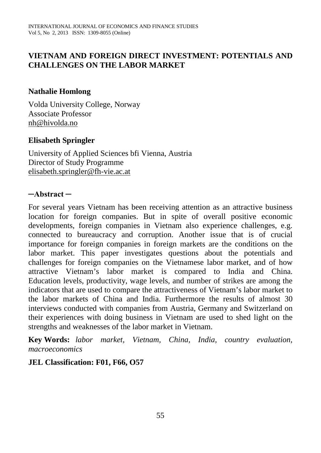# **VIETNAM AND FOREIGN DIRECT INVESTMENT: POTENTIALS AND CHALLENGES ON THE LABOR MARKET**

### **Nathalie Homlong**

Volda University College, Norway Associate Professor [nh@hivolda.no](mailto:nh@hivolda.no)

### **Elisabeth Springler**

University of Applied Sciences bfi Vienna, Austria Director of Study Programme [elisabeth.springler@fh-vie.ac.at](mailto:elisabeth.springler@fh-vie.ac.at) 

#### **─Abstract ─**

For several years Vietnam has been receiving attention as an attractive business location for foreign companies. But in spite of overall positive economic developments, foreign companies in Vietnam also experience challenges, e.g. connected to bureaucracy and corruption. Another issue that is of crucial importance for foreign companies in foreign markets are the conditions on the labor market. This paper investigates questions about the potentials and challenges for foreign companies on the Vietnamese labor market, and of how attractive Vietnam's labor market is compared to India and China. Education levels, productivity, wage levels, and number of strikes are among the indicators that are used to compare the attractiveness of Vietnam's labor market to the labor markets of China and India. Furthermore the results of almost 30 interviews conducted with companies from Austria, Germany and Switzerland on their experiences with doing business in Vietnam are used to shed light on the strengths and weaknesses of the labor market in Vietnam.

**Key Words:** *labor market, Vietnam, China, India, country evaluation, macroeconomics*

### **JEL Classification: F01, F66, O57**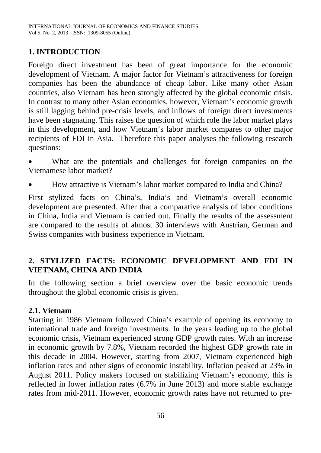### **1. INTRODUCTION**

Foreign direct investment has been of great importance for the economic development of Vietnam. A major factor for Vietnam's attractiveness for foreign companies has been the abundance of cheap labor. Like many other Asian countries, also Vietnam has been strongly affected by the global economic crisis. In contrast to many other Asian economies, however, Vietnam's economic growth is still lagging behind pre-crisis levels, and inflows of foreign direct investments have been stagnating. This raises the question of which role the labor market plays in this development, and how Vietnam's labor market compares to other major recipients of FDI in Asia. Therefore this paper analyses the following research questions:

What are the potentials and challenges for foreign companies on the Vietnamese labor market?

• How attractive is Vietnam's labor market compared to India and China?

First stylized facts on China's, India's and Vietnam's overall economic development are presented. After that a comparative analysis of labor conditions in China, India and Vietnam is carried out. Finally the results of the assessment are compared to the results of almost 30 interviews with Austrian, German and Swiss companies with business experience in Vietnam.

# **2. STYLIZED FACTS: ECONOMIC DEVELOPMENT AND FDI IN VIETNAM, CHINA AND INDIA**

In the following section a brief overview over the basic economic trends throughout the global economic crisis is given.

### **2.1. Vietnam**

Starting in 1986 Vietnam followed China's example of opening its economy to international trade and foreign investments. In the years leading up to the global economic crisis, Vietnam experienced strong GDP growth rates. With an increase in economic growth by 7.8%, Vietnam recorded the highest GDP growth rate in this decade in 2004. However, starting from 2007, Vietnam experienced high inflation rates and other signs of economic instability. Inflation peaked at 23% in August 2011. Policy makers focused on stabilizing Vietnam's economy, this is reflected in lower inflation rates (6.7% in June 2013) and more stable exchange rates from mid-2011. However, economic growth rates have not returned to pre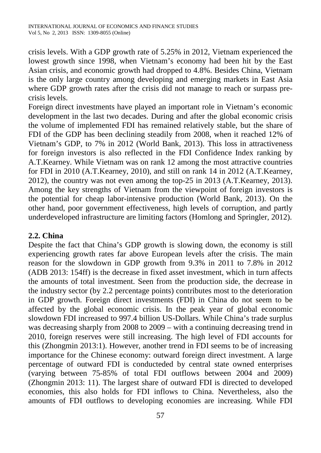crisis levels. With a GDP growth rate of 5.25% in 2012, Vietnam experienced the lowest growth since 1998, when Vietnam's economy had been hit by the East Asian crisis, and economic growth had dropped to 4.8%. Besides China, Vietnam is the only large country among developing and emerging markets in East Asia where GDP growth rates after the crisis did not manage to reach or surpass precrisis levels.

Foreign direct investments have played an important role in Vietnam's economic development in the last two decades. During and after the global economic crisis the volume of implemented FDI has remained relatively stable, but the share of FDI of the GDP has been declining steadily from 2008, when it reached 12% of Vietnam's GDP, to 7% in 2012 (World Bank, 2013). This loss in attractiveness for foreign investors is also reflected in the FDI Confidence Index ranking by A.T.Kearney. While Vietnam was on rank 12 among the most attractive countries for FDI in 2010 (A.T.Kearney, 2010), and still on rank 14 in 2012 (A.T.Kearney, 2012), the country was not even among the top-25 in 2013 (A.T.Kearney, 2013). Among the key strengths of Vietnam from the viewpoint of foreign investors is the potential for cheap labor-intensive production (World Bank, 2013). On the other hand, poor government effectiveness, high levels of corruption, and partly underdeveloped infrastructure are limiting factors (Homlong and Springler*,* 2012).

# **2.2. China**

Despite the fact that China's GDP growth is slowing down, the economy is still experiencing growth rates far above European levels after the crisis. The main reason for the slowdown in GDP growth from 9.3% in 2011 to 7.8% in 2012 (ADB 2013: 154ff) is the decrease in fixed asset investment, which in turn affects the amounts of total investment. Seen from the production side, the decrease in the industry sector (by 2.2 percentage points) contributes most to the deterioration in GDP growth. Foreign direct investments (FDI) in China do not seem to be affected by the global economic crisis. In the peak year of global economic slowdown FDI increased to 997.4 billion US-Dollars. While China's trade surplus was decreasing sharply from 2008 to 2009 – with a continuing decreasing trend in 2010, foreign reserves were still increasing. The high level of FDI accounts for this (Zhongmin 2013:1). However, another trend in FDI seems to be of increasing importance for the Chinese economy: outward foreign direct investment. A large percentage of outward FDI is conducteded by central state owned enterprises (varying between 75-85% of total FDI outflows between 2004 and 2009) (Zhongmin 2013: 11). The largest share of outward FDI is directed to developed economies, this also holds for FDI inflows to China. Nevertheless, also the amounts of FDI outflows to developing economies are increasing. While FDI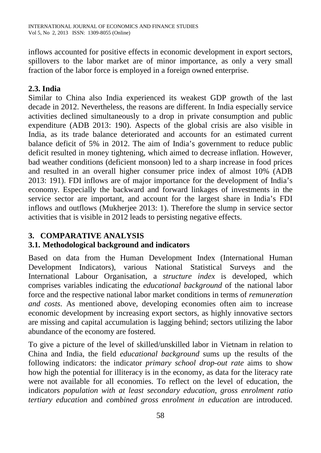inflows accounted for positive effects in economic development in export sectors, spillovers to the labor market are of minor importance, as only a very small fraction of the labor force is employed in a foreign owned enterprise.

# **2.3. India**

Similar to China also India experienced its weakest GDP growth of the last decade in 2012. Nevertheless, the reasons are different. In India especially service activities declined simultaneously to a drop in private consumption and public expenditure (ADB 2013: 190). Aspects of the global crisis are also visible in India, as its trade balance deteriorated and accounts for an estimated current balance deficit of 5% in 2012. The aim of India's government to reduce public deficit resulted in money tightening, which aimed to decrease inflation. However, bad weather conditions (deficient monsoon) led to a sharp increase in food prices and resulted in an overall higher consumer price index of almost 10% (ADB 2013: 191). FDI inflows are of major importance for the development of India's economy. Especially the backward and forward linkages of investments in the service sector are important, and account for the largest share in India's FDI inflows and outflows (Mukherjee 2013: 1). Therefore the slump in service sector activities that is visible in 2012 leads to persisting negative effects.

# **3. COMPARATIVE ANALYSIS**

# **3.1. Methodological background and indicators**

Based on data from the Human Development Index (International Human Development Indicators), various National Statistical Surveys and the International Labour Organisation, a *structure index* is developed, which comprises variables indicating the *educational background* of the national labor force and the respective national labor market conditions in terms of *remuneration and costs*. As mentioned above, developing economies often aim to increase economic development by increasing export sectors, as highly innovative sectors are missing and capital accumulation is lagging behind; sectors utilizing the labor abundance of the economy are fostered.

To give a picture of the level of skilled/unskilled labor in Vietnam in relation to China and India, the field *educational background* sums up the results of the following indicators: the indicator *primary school drop-out rate* aims to show how high the potential for illiteracy is in the economy, as data for the literacy rate were not available for all economies. To reflect on the level of education, the indicators *population with at least secondary education*, *gross enrolment ratio tertiary education* and *combined gross enrolment in education* are introduced.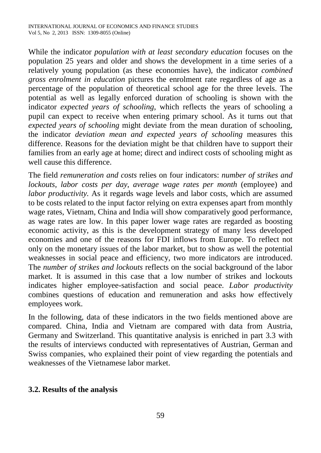While the indicator *population with at least secondary education* focuses on the population 25 years and older and shows the development in a time series of a relatively young population (as these economies have), the indicator *combined gross enrolment in education* pictures the enrolment rate regardless of age as a percentage of the population of theoretical school age for the three levels. The potential as well as legally enforced duration of schooling is shown with the indicator *expected years of schooling*, which reflects the years of schooling a pupil can expect to receive when entering primary school. As it turns out that *expected years of schooling* might deviate from the mean duration of schooling, the indicator *deviation mean and expected years of schooling* measures this difference. Reasons for the deviation might be that children have to support their families from an early age at home; direct and indirect costs of schooling might as well cause this difference.

The field *remuneration and costs* relies on four indicators: *number of strikes and lockouts*, *labor costs per day*, *average wage rates per month* (employee) and *labor productivity.* As it regards wage levels and labor costs, which are assumed to be costs related to the input factor relying on extra expenses apart from monthly wage rates, Vietnam, China and India will show comparatively good performance, as wage rates are low. In this paper lower wage rates are regarded as boosting economic activity, as this is the development strategy of many less developed economies and one of the reasons for FDI inflows from Europe. To reflect not only on the monetary issues of the labor market, but to show as well the potential weaknesses in social peace and efficiency, two more indicators are introduced. The *number of strikes and lockouts* reflects on the social background of the labor market. It is assumed in this case that a low number of strikes and lockouts indicates higher employee-satisfaction and social peace. *Labor productivity* combines questions of education and remuneration and asks how effectively employees work.

In the following, data of these indicators in the two fields mentioned above are compared. China, India and Vietnam are compared with data from Austria, Germany and Switzerland. This quantitative analysis is enriched in part 3.3 with the results of interviews conducted with representatives of Austrian, German and Swiss companies, who explained their point of view regarding the potentials and weaknesses of the Vietnamese labor market.

# **3.2. Results of the analysis**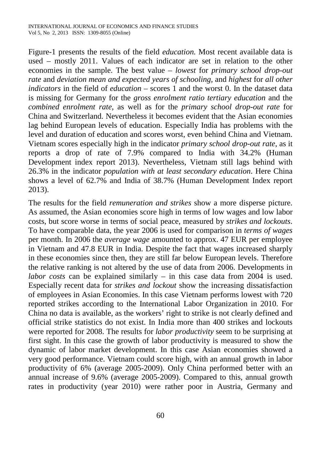Figure-1 presents the results of the field *education.* Most recent available data is used – mostly 2011. Values of each indicator are set in relation to the other economies in the sample. The best value – *lowest* for *primary school drop-out rate* and *deviation mean and expected years of schooling,* and *highest* for *all other indicators* in the field of *education* – scores 1 and the worst 0. In the dataset data is missing for Germany for the *gross enrolment ratio tertiary education* and the *combined enrolment rate*, as well as for the *primary school drop-out rate* for China and Switzerland. Nevertheless it becomes evident that the Asian economies lag behind European levels of education. Especially India has problems with the level and duration of education and scores worst, even behind China and Vietnam. Vietnam scores especially high in the indicator *primary school drop-out rate*, as it reports a drop of rate of 7.9% compared to India with 34.2% (Human Development index report 2013). Nevertheless, Vietnam still lags behind with 26.3% in the indicator *population with at least secondary education*. Here China shows a level of 62.7% and India of 38.7% (Human Development Index report 2013).

The results for the field *remuneration and strikes* show a more disperse picture. As assumed, the Asian economies score high in terms of low wages and low labor costs, but score worse in terms of social peace, measured by *strikes and lockouts*. To have comparable data, the year 2006 is used for comparison in *terms of wages* per month. In 2006 the *average wage* amounted to approx. 47 EUR per employee in Vietnam and 47.8 EUR in India. Despite the fact that wages increased sharply in these economies since then, they are still far below European levels. Therefore the relative ranking is not altered by the use of data from 2006. Developments in *labor costs* can be explained similarly – in this case data from 2004 is used. Especially recent data for *strikes and lockout* show the increasing dissatisfaction of employees in Asian Economies. In this case Vietnam performs lowest with 720 reported strikes according to the International Labor Organization in 2010. For China no data is available, as the workers' right to strike is not clearly defined and official strike statistics do not exist. In India more than 400 strikes and lockouts were reported for 2008. The results for *labor productivity* seem to be surprising at first sight. In this case the growth of labor productivity is measured to show the dynamic of labor market development. In this case Asian economies showed a very good performance. Vietnam could score high, with an annual growth in labor productivity of 6% (average 2005-2009). Only China performed better with an annual increase of 9.6% (average 2005-2009). Compared to this, annual growth rates in productivity (year 2010) were rather poor in Austria, Germany and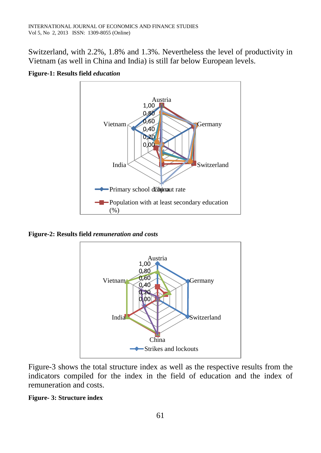Switzerland, with 2.2%, 1.8% and 1.3%. Nevertheless the level of productivity in Vietnam (as well in China and India) is still far below European levels.



**Figure-1: Results field** *education*

**Figure-2: Results field** *remuneration and costs*



Figure-3 shows the total structure index as well as the respective results from the indicators compiled for the index in the field of education and the index of remuneration and costs.

#### **Figure- 3: Structure index**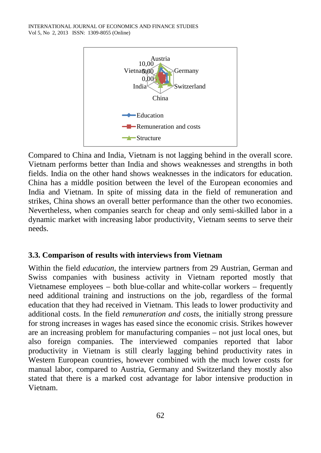

Compared to China and India, Vietnam is not lagging behind in the overall score. Vietnam performs better than India and shows weaknesses and strengths in both fields. India on the other hand shows weaknesses in the indicators for education. China has a middle position between the level of the European economies and India and Vietnam. In spite of missing data in the field of remuneration and strikes, China shows an overall better performance than the other two economies. Nevertheless, when companies search for cheap and only semi-skilled labor in a dynamic market with increasing labor productivity, Vietnam seems to serve their needs.

### **3.3. Comparison of results with interviews from Vietnam**

Within the field *education*, the interview partners from 29 Austrian, German and Swiss companies with business activity in Vietnam reported mostly that Vietnamese employees – both blue-collar and white-collar workers – frequently need additional training and instructions on the job, regardless of the formal education that they had received in Vietnam. This leads to lower productivity and additional costs. In the field *remuneration and costs*, the initially strong pressure for strong increases in wages has eased since the economic crisis. Strikes however are an increasing problem for manufacturing companies – not just local ones, but also foreign companies. The interviewed companies reported that labor productivity in Vietnam is still clearly lagging behind productivity rates in Western European countries, however combined with the much lower costs for manual labor, compared to Austria, Germany and Switzerland they mostly also stated that there is a marked cost advantage for labor intensive production in Vietnam.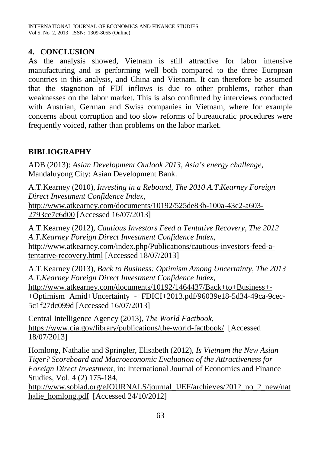### **4. CONCLUSION**

As the analysis showed, Vietnam is still attractive for labor intensive manufacturing and is performing well both compared to the three European countries in this analysis, and China and Vietnam. It can therefore be assumed that the stagnation of FDI inflows is due to other problems, rather than weaknesses on the labor market. This is also confirmed by interviews conducted with Austrian, German and Swiss companies in Vietnam, where for example concerns about corruption and too slow reforms of bureaucratic procedures were frequently voiced, rather than problems on the labor market.

# **BIBLIOGRAPHY**

ADB (2013): *Asian Development Outlook 2013, Asia's energy challenge*, Mandaluyong City: Asian Development Bank.

A.T.Kearney (2010), *Investing in a Rebound, The 2010 A.T.Kearney Foreign Direct Investment Confidence Index*, [http://www.atkearney.com/documents/10192/525de83b-100a-43c2-a603-](http://www.atkearney.com/documents/10192/525de83b-100a-43c2-a603-2793ce7c6d00) [2793ce7c6d00](http://www.atkearney.com/documents/10192/525de83b-100a-43c2-a603-2793ce7c6d00) [Accessed 16/07/2013]

A.T.Kearney (2012), *Cautious Investors Feed a Tentative Recovery*, *The 2012 A.T.Kearney Foreign Direct Investment Confidence Index*, [http://www.atkearney.com/index.php/Publications/cautious-investors-feed-a](http://www.atkearney.com/index.php/Publications/cautious-investors-feed-a-tentative-recovery.html)[tentative-recovery.html](http://www.atkearney.com/index.php/Publications/cautious-investors-feed-a-tentative-recovery.html) [Accessed 18/07/2013]

A.T.Kearney (2013), *Back to Business: Optimism Among Uncertainty, The 2013 A.T.Kearney Foreign Direct Investment Confidence Index*, [http://www.atkearney.com/documents/10192/1464437/Back+to+Business+-](http://www.atkearney.com/documents/10192/1464437/Back+to+Business+-+Optimism+Amid+Uncertainty+-+FDICI+2013.pdf/96039e18-5d34-49ca-9cec-5c1f27dc099d) [+Optimism+Amid+Uncertainty+-+FDICI+2013.pdf/96039e18-5d34-49ca-9cec-](http://www.atkearney.com/documents/10192/1464437/Back+to+Business+-+Optimism+Amid+Uncertainty+-+FDICI+2013.pdf/96039e18-5d34-49ca-9cec-5c1f27dc099d)[5c1f27dc099d](http://www.atkearney.com/documents/10192/1464437/Back+to+Business+-+Optimism+Amid+Uncertainty+-+FDICI+2013.pdf/96039e18-5d34-49ca-9cec-5c1f27dc099d) [Accessed 16/07/2013]

Central Intelligence Agency (2013), *The World Factbook*, <https://www.cia.gov/library/publications/the-world-factbook/>[Accessed 18/07/2013]

Homlong, Nathalie and Springler, Elisabeth (2012), *Is Vietnam the New Asian Tiger? Scoreboard and Macroeconomic Evaluation of the Attractiveness for Foreign Direct Investment*, in: International Journal of Economics and Finance Studies, Vol. 4 (2) 175-184,

[http://www.sobiad.org/eJOURNALS/journal\\_IJEF/archieves/2012\\_no\\_2\\_new/nat](http://www.sobiad.org/eJOURNALS/journal_IJEF/archieves/2012_no_2_new/nathalie_homlong.pdf) [halie\\_homlong.pdf](http://www.sobiad.org/eJOURNALS/journal_IJEF/archieves/2012_no_2_new/nathalie_homlong.pdf) [Accessed 24/10/2012]